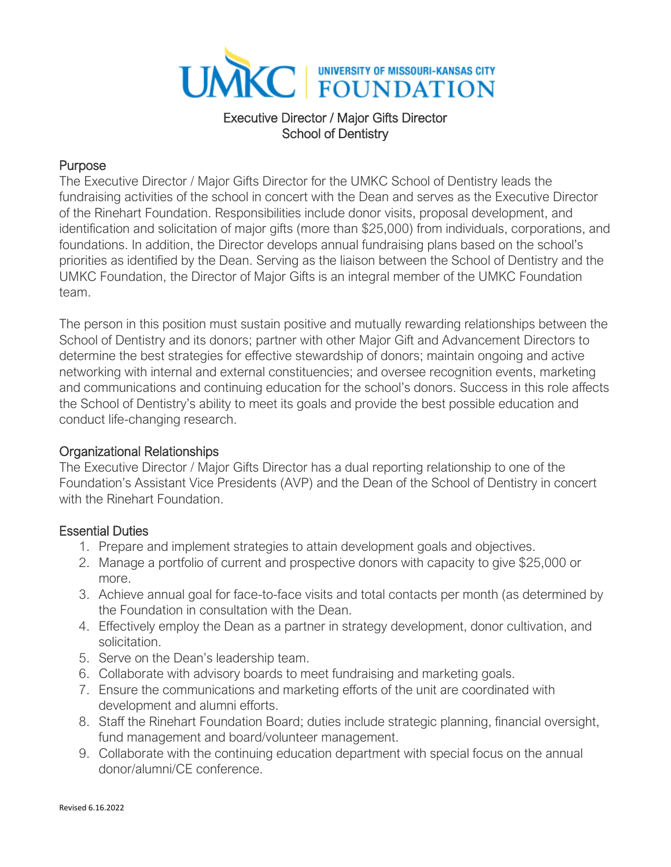

# Executive Director / Major Gifts Director School of Dentistry

### Purpose

The Executive Director / Major Gifts Director for the UMKC School of Dentistry leads the fundraising activities of the school in concert with the Dean and serves as the Executive Director of the Rinehart Foundation. Responsibilities include donor visits, proposal development, and identification and solicitation of major gifts (more than \$25,000) from individuals, corporations, and foundations. In addition, the Director develops annual fundraising plans based on the school's priorities as identified by the Dean. Serving as the liaison between the School of Dentistry and the UMKC Foundation, the Director of Major Gifts is an integral member of the UMKC Foundation team.

The person in this position must sustain positive and mutually rewarding relationships between the School of Dentistry and its donors; partner with other Major Gift and Advancement Directors to determine the best strategies for effective stewardship of donors; maintain ongoing and active networking with internal and external constituencies; and oversee recognition events, marketing and communications and continuing education for the school's donors. Success in this role affects the School of Dentistry's ability to meet its goals and provide the best possible education and conduct life-changing research.

#### Organizational Relationships

The Executive Director / Major Gifts Director has a dual reporting relationship to one of the Foundation's Assistant Vice Presidents (AVP) and the Dean of the School of Dentistry in concert with the Rinehart Foundation

# Essential Duties

- 1. Prepare and implement strategies to attain development goals and objectives.
- 2. Manage a portfolio of current and prospective donors with capacity to give \$25,000 or more.
- 3. Achieve annual goal for face-to-face visits and total contacts per month (as determined by the Foundation in consultation with the Dean.
- 4. Effectively employ the Dean as a partner in strategy development, donor cultivation, and solicitation.
- 5. Serve on the Dean's leadership team.
- 6. Collaborate with advisory boards to meet fundraising and marketing goals.
- 7. Ensure the communications and marketing efforts of the unit are coordinated with development and alumni efforts.
- 8. Staff the Rinehart Foundation Board; duties include strategic planning, financial oversight, fund management and board/volunteer management.
- 9. Collaborate with the continuing education department with special focus on the annual donor/alumni/CE conference.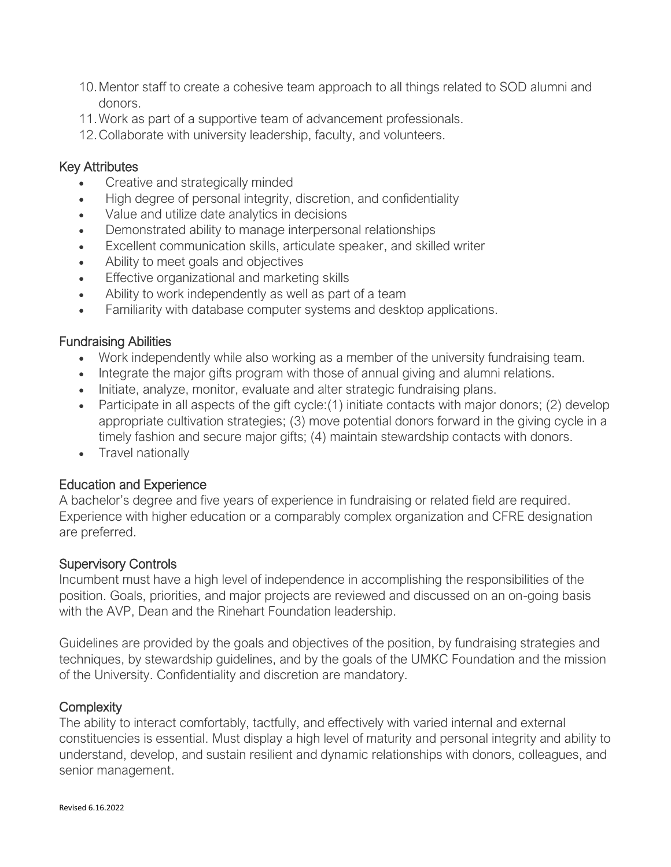- 10.Mentor staff to create a cohesive team approach to all things related to SOD alumni and donors.
- 11.Work as part of a supportive team of advancement professionals.
- 12.Collaborate with university leadership, faculty, and volunteers.

#### Key Attributes

- Creative and strategically minded
- High degree of personal integrity, discretion, and confidentiality
- Value and utilize date analytics in decisions
- Demonstrated ability to manage interpersonal relationships
- Excellent communication skills, articulate speaker, and skilled writer
- Ability to meet goals and objectives
- Effective organizational and marketing skills
- Ability to work independently as well as part of a team
- Familiarity with database computer systems and desktop applications.

### Fundraising Abilities

- Work independently while also working as a member of the university fundraising team.
- Integrate the major gifts program with those of annual giving and alumni relations.
- Initiate, analyze, monitor, evaluate and alter strategic fundraising plans.
- Participate in all aspects of the gift cycle: (1) initiate contacts with major donors; (2) develop appropriate cultivation strategies; (3) move potential donors forward in the giving cycle in a timely fashion and secure major gifts; (4) maintain stewardship contacts with donors.
- Travel nationally

#### Education and Experience

A bachelor's degree and five years of experience in fundraising or related field are required. Experience with higher education or a comparably complex organization and CFRE designation are preferred.

#### Supervisory Controls

Incumbent must have a high level of independence in accomplishing the responsibilities of the position. Goals, priorities, and major projects are reviewed and discussed on an on-going basis with the AVP, Dean and the Rinehart Foundation leadership.

Guidelines are provided by the goals and objectives of the position, by fundraising strategies and techniques, by stewardship guidelines, and by the goals of the UMKC Foundation and the mission of the University. Confidentiality and discretion are mandatory.

# **Complexity**

The ability to interact comfortably, tactfully, and effectively with varied internal and external constituencies is essential. Must display a high level of maturity and personal integrity and ability to understand, develop, and sustain resilient and dynamic relationships with donors, colleagues, and senior management.